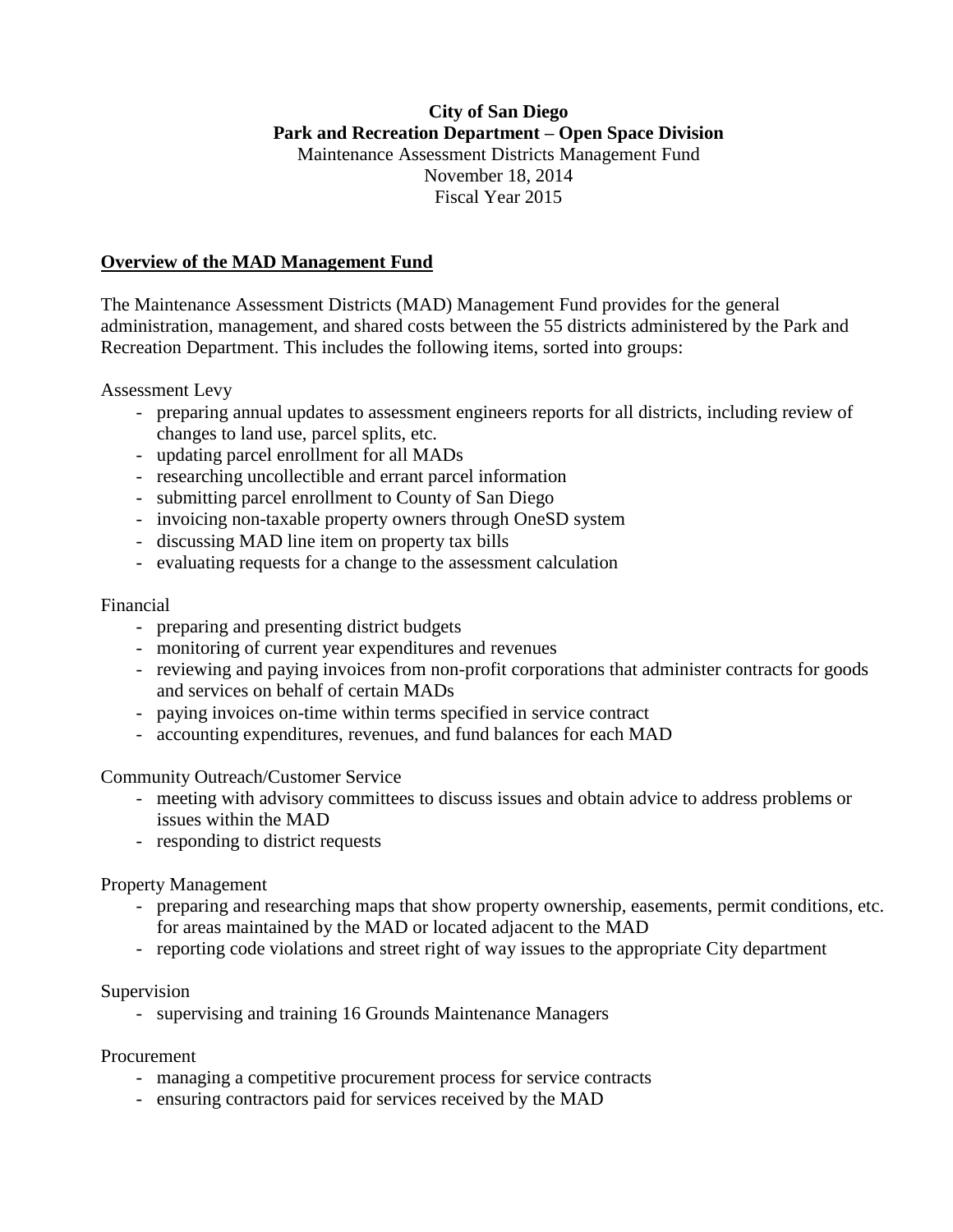# **City of San Diego Park and Recreation Department – Open Space Division** Maintenance Assessment Districts Management Fund November 18, 2014 Fiscal Year 2015

# **Overview of the MAD Management Fund**

The Maintenance Assessment Districts (MAD) Management Fund provides for the general administration, management, and shared costs between the 55 districts administered by the Park and Recreation Department. This includes the following items, sorted into groups:

Assessment Levy

- preparing annual updates to assessment engineers reports for all districts, including review of changes to land use, parcel splits, etc.
- updating parcel enrollment for all MADs
- researching uncollectible and errant parcel information
- submitting parcel enrollment to County of San Diego
- invoicing non-taxable property owners through OneSD system
- discussing MAD line item on property tax bills
- evaluating requests for a change to the assessment calculation

#### Financial

- preparing and presenting district budgets
- monitoring of current year expenditures and revenues
- reviewing and paying invoices from non-profit corporations that administer contracts for goods and services on behalf of certain MADs
- paying invoices on-time within terms specified in service contract
- accounting expenditures, revenues, and fund balances for each MAD

Community Outreach/Customer Service

- meeting with advisory committees to discuss issues and obtain advice to address problems or issues within the MAD
- responding to district requests

### Property Management

- preparing and researching maps that show property ownership, easements, permit conditions, etc. for areas maintained by the MAD or located adjacent to the MAD
- reporting code violations and street right of way issues to the appropriate City department

### Supervision

- supervising and training 16 Grounds Maintenance Managers

Procurement

- managing a competitive procurement process for service contracts
- ensuring contractors paid for services received by the MAD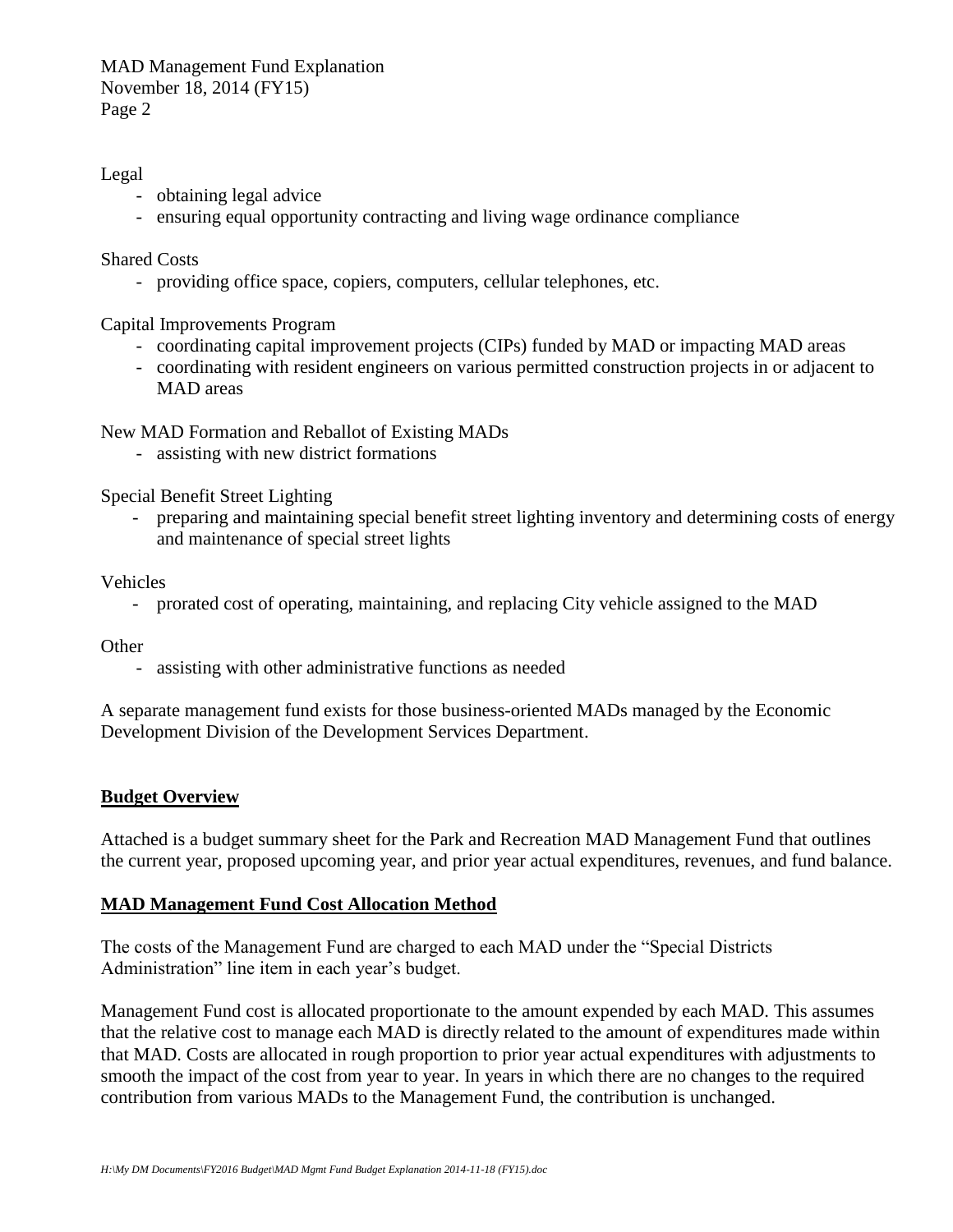MAD Management Fund Explanation November 18, 2014 (FY15) Page 2

Legal

- obtaining legal advice
- ensuring equal opportunity contracting and living wage ordinance compliance

Shared Costs

- providing office space, copiers, computers, cellular telephones, etc.

Capital Improvements Program

- coordinating capital improvement projects (CIPs) funded by MAD or impacting MAD areas
- coordinating with resident engineers on various permitted construction projects in or adjacent to MAD areas

New MAD Formation and Reballot of Existing MADs

- assisting with new district formations

Special Benefit Street Lighting

- preparing and maintaining special benefit street lighting inventory and determining costs of energy and maintenance of special street lights

Vehicles

- prorated cost of operating, maintaining, and replacing City vehicle assigned to the MAD

**Other** 

- assisting with other administrative functions as needed

A separate management fund exists for those business-oriented MADs managed by the Economic Development Division of the Development Services Department.

### **Budget Overview**

Attached is a budget summary sheet for the Park and Recreation MAD Management Fund that outlines the current year, proposed upcoming year, and prior year actual expenditures, revenues, and fund balance.

### **MAD Management Fund Cost Allocation Method**

The costs of the Management Fund are charged to each MAD under the "Special Districts Administration" line item in each year's budget.

Management Fund cost is allocated proportionate to the amount expended by each MAD. This assumes that the relative cost to manage each MAD is directly related to the amount of expenditures made within that MAD. Costs are allocated in rough proportion to prior year actual expenditures with adjustments to smooth the impact of the cost from year to year. In years in which there are no changes to the required contribution from various MADs to the Management Fund, the contribution is unchanged.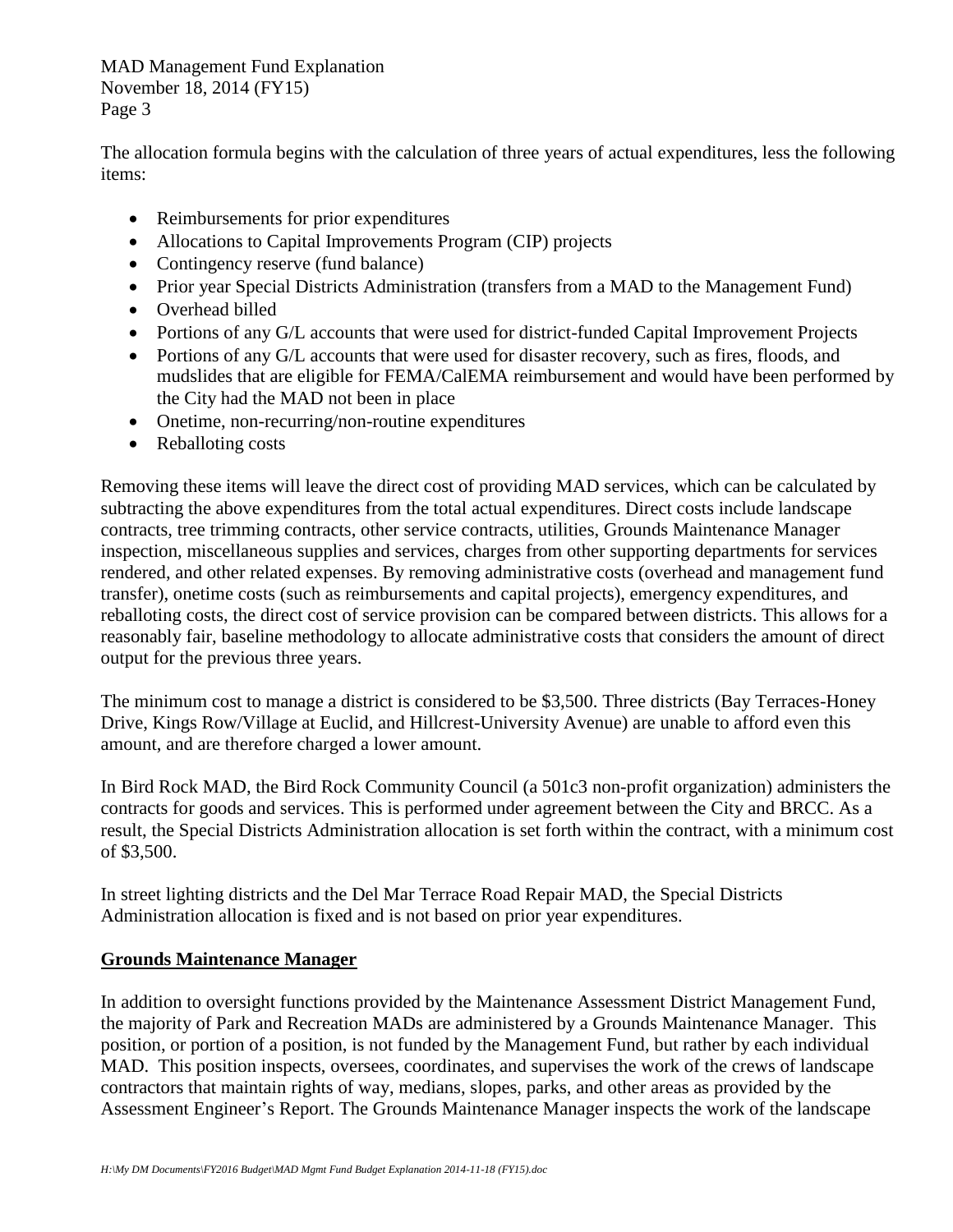MAD Management Fund Explanation November 18, 2014 (FY15) Page 3

The allocation formula begins with the calculation of three years of actual expenditures, less the following items:

- Reimbursements for prior expenditures
- Allocations to Capital Improvements Program (CIP) projects
- Contingency reserve (fund balance)
- Prior year Special Districts Administration (transfers from a MAD to the Management Fund)
- Overhead billed
- Portions of any G/L accounts that were used for district-funded Capital Improvement Projects
- Portions of any G/L accounts that were used for disaster recovery, such as fires, floods, and mudslides that are eligible for FEMA/CalEMA reimbursement and would have been performed by the City had the MAD not been in place
- Onetime, non-recurring/non-routine expenditures
- Reballoting costs

Removing these items will leave the direct cost of providing MAD services, which can be calculated by subtracting the above expenditures from the total actual expenditures. Direct costs include landscape contracts, tree trimming contracts, other service contracts, utilities, Grounds Maintenance Manager inspection, miscellaneous supplies and services, charges from other supporting departments for services rendered, and other related expenses. By removing administrative costs (overhead and management fund transfer), onetime costs (such as reimbursements and capital projects), emergency expenditures, and reballoting costs, the direct cost of service provision can be compared between districts. This allows for a reasonably fair, baseline methodology to allocate administrative costs that considers the amount of direct output for the previous three years.

The minimum cost to manage a district is considered to be \$3,500. Three districts (Bay Terraces-Honey Drive, Kings Row/Village at Euclid, and Hillcrest-University Avenue) are unable to afford even this amount, and are therefore charged a lower amount.

In Bird Rock MAD, the Bird Rock Community Council (a 501c3 non-profit organization) administers the contracts for goods and services. This is performed under agreement between the City and BRCC. As a result, the Special Districts Administration allocation is set forth within the contract, with a minimum cost of \$3,500.

In street lighting districts and the Del Mar Terrace Road Repair MAD, the Special Districts Administration allocation is fixed and is not based on prior year expenditures.

# **Grounds Maintenance Manager**

In addition to oversight functions provided by the Maintenance Assessment District Management Fund, the majority of Park and Recreation MADs are administered by a Grounds Maintenance Manager. This position, or portion of a position, is not funded by the Management Fund, but rather by each individual MAD. This position inspects, oversees, coordinates, and supervises the work of the crews of landscape contractors that maintain rights of way, medians, slopes, parks, and other areas as provided by the Assessment Engineer's Report. The Grounds Maintenance Manager inspects the work of the landscape